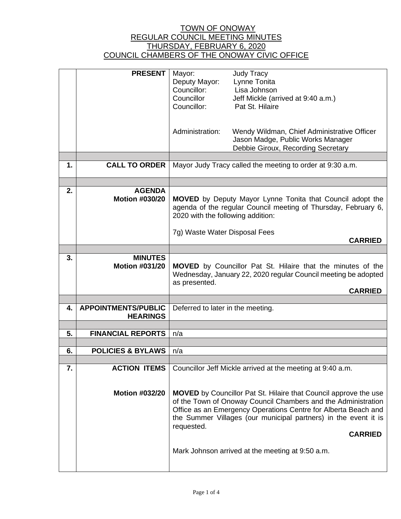|    | <b>PRESENT</b>                         | Mayor:                                                                                                                             | <b>Judy Tracy</b>                                                       |
|----|----------------------------------------|------------------------------------------------------------------------------------------------------------------------------------|-------------------------------------------------------------------------|
|    |                                        | Deputy Mayor:<br>Councillor:                                                                                                       | Lynne Tonita<br>Lisa Johnson                                            |
|    |                                        | Councillor                                                                                                                         | Jeff Mickle (arrived at 9:40 a.m.)                                      |
|    |                                        | Councillor:                                                                                                                        | Pat St. Hilaire                                                         |
|    |                                        |                                                                                                                                    |                                                                         |
|    |                                        |                                                                                                                                    |                                                                         |
|    |                                        | Administration:                                                                                                                    | Wendy Wildman, Chief Administrative Officer                             |
|    |                                        |                                                                                                                                    | Jason Madge, Public Works Manager<br>Debbie Giroux, Recording Secretary |
|    |                                        |                                                                                                                                    |                                                                         |
| 1. | <b>CALL TO ORDER</b>                   | Mayor Judy Tracy called the meeting to order at 9:30 a.m.                                                                          |                                                                         |
|    |                                        |                                                                                                                                    |                                                                         |
|    |                                        |                                                                                                                                    |                                                                         |
| 2. | <b>AGENDA</b><br><b>Motion #030/20</b> |                                                                                                                                    |                                                                         |
|    |                                        | <b>MOVED</b> by Deputy Mayor Lynne Tonita that Council adopt the<br>agenda of the regular Council meeting of Thursday, February 6, |                                                                         |
|    |                                        | 2020 with the following addition:                                                                                                  |                                                                         |
|    |                                        |                                                                                                                                    |                                                                         |
|    |                                        | 7g) Waste Water Disposal Fees                                                                                                      | <b>CARRIED</b>                                                          |
|    |                                        |                                                                                                                                    |                                                                         |
| 3. | <b>MINUTES</b>                         |                                                                                                                                    |                                                                         |
|    | <b>Motion #031/20</b>                  |                                                                                                                                    | <b>MOVED</b> by Councillor Pat St. Hilaire that the minutes of the      |
|    |                                        |                                                                                                                                    | Wednesday, January 22, 2020 regular Council meeting be adopted          |
|    |                                        | as presented.                                                                                                                      | <b>CARRIED</b>                                                          |
|    |                                        |                                                                                                                                    |                                                                         |
| 4. | <b>APPOINTMENTS/PUBLIC</b>             | Deferred to later in the meeting.                                                                                                  |                                                                         |
|    | <b>HEARINGS</b>                        |                                                                                                                                    |                                                                         |
| 5. | <b>FINANCIAL REPORTS</b>               | n/a                                                                                                                                |                                                                         |
|    |                                        |                                                                                                                                    |                                                                         |
| 6. | <b>POLICIES &amp; BYLAWS</b>           | n/a                                                                                                                                |                                                                         |
|    |                                        |                                                                                                                                    |                                                                         |
| 7. | <b>ACTION ITEMS</b>                    |                                                                                                                                    | Councillor Jeff Mickle arrived at the meeting at 9:40 a.m.              |
|    |                                        |                                                                                                                                    |                                                                         |
|    | <b>Motion #032/20</b>                  |                                                                                                                                    | <b>MOVED</b> by Councillor Pat St. Hilaire that Council approve the use |
|    |                                        |                                                                                                                                    | of the Town of Onoway Council Chambers and the Administration           |
|    |                                        | Office as an Emergency Operations Centre for Alberta Beach and                                                                     |                                                                         |
|    |                                        | the Summer Villages (our municipal partners) in the event it is                                                                    |                                                                         |
|    |                                        |                                                                                                                                    |                                                                         |
|    |                                        | requested.                                                                                                                         |                                                                         |
|    |                                        |                                                                                                                                    | <b>CARRIED</b>                                                          |
|    |                                        |                                                                                                                                    | Mark Johnson arrived at the meeting at 9:50 a.m.                        |
|    |                                        |                                                                                                                                    |                                                                         |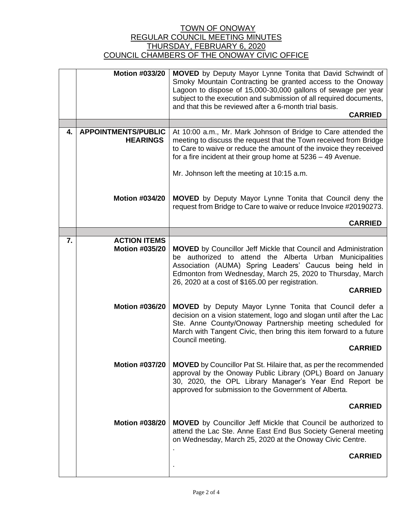|    | <b>Motion #033/20</b>                         | <b>MOVED</b> by Deputy Mayor Lynne Tonita that David Schwindt of                                                                    |
|----|-----------------------------------------------|-------------------------------------------------------------------------------------------------------------------------------------|
|    |                                               | Smoky Mountain Contracting be granted access to the Onoway                                                                          |
|    |                                               | Lagoon to dispose of 15,000-30,000 gallons of sewage per year<br>subject to the execution and submission of all required documents, |
|    |                                               | and that this be reviewed after a 6-month trial basis.                                                                              |
|    |                                               | <b>CARRIED</b>                                                                                                                      |
|    |                                               |                                                                                                                                     |
| 4. | <b>APPOINTMENTS/PUBLIC</b><br><b>HEARINGS</b> | At 10:00 a.m., Mr. Mark Johnson of Bridge to Care attended the<br>meeting to discuss the request that the Town received from Bridge |
|    |                                               | to Care to waive or reduce the amount of the invoice they received                                                                  |
|    |                                               | for a fire incident at their group home at 5236 - 49 Avenue.                                                                        |
|    |                                               | Mr. Johnson left the meeting at 10:15 a.m.                                                                                          |
|    |                                               |                                                                                                                                     |
|    | <b>Motion #034/20</b>                         | <b>MOVED</b> by Deputy Mayor Lynne Tonita that Council deny the                                                                     |
|    |                                               | request from Bridge to Care to waive or reduce Invoice #20190273.                                                                   |
|    |                                               | <b>CARRIED</b>                                                                                                                      |
|    |                                               |                                                                                                                                     |
| 7. | <b>ACTION ITEMS</b>                           |                                                                                                                                     |
|    | <b>Motion #035/20</b>                         | <b>MOVED</b> by Councillor Jeff Mickle that Council and Administration                                                              |
|    |                                               | be authorized to attend the Alberta Urban Municipalities<br>Association (AUMA) Spring Leaders' Caucus being held in                 |
|    |                                               | Edmonton from Wednesday, March 25, 2020 to Thursday, March                                                                          |
|    |                                               | 26, 2020 at a cost of \$165.00 per registration.<br><b>CARRIED</b>                                                                  |
|    |                                               |                                                                                                                                     |
|    | <b>Motion #036/20</b>                         | MOVED by Deputy Mayor Lynne Tonita that Council defer a                                                                             |
|    |                                               | decision on a vision statement, logo and slogan until after the Lac<br>Ste. Anne County/Onoway Partnership meeting scheduled for    |
|    |                                               | March with Tangent Civic, then bring this item forward to a future                                                                  |
|    |                                               | Council meeting.                                                                                                                    |
|    |                                               | <b>CARRIED</b>                                                                                                                      |
|    | <b>Motion #037/20</b>                         | <b>MOVED</b> by Councillor Pat St. Hilaire that, as per the recommended                                                             |
|    |                                               | approval by the Onoway Public Library (OPL) Board on January<br>30, 2020, the OPL Library Manager's Year End Report be              |
|    |                                               | approved for submission to the Government of Alberta.                                                                               |
|    |                                               |                                                                                                                                     |
|    |                                               | <b>CARRIED</b>                                                                                                                      |
|    | <b>Motion #038/20</b>                         | <b>MOVED</b> by Councillor Jeff Mickle that Council be authorized to                                                                |
|    |                                               | attend the Lac Ste. Anne East End Bus Society General meeting<br>on Wednesday, March 25, 2020 at the Onoway Civic Centre.           |
|    |                                               |                                                                                                                                     |
|    |                                               | <b>CARRIED</b>                                                                                                                      |
|    |                                               |                                                                                                                                     |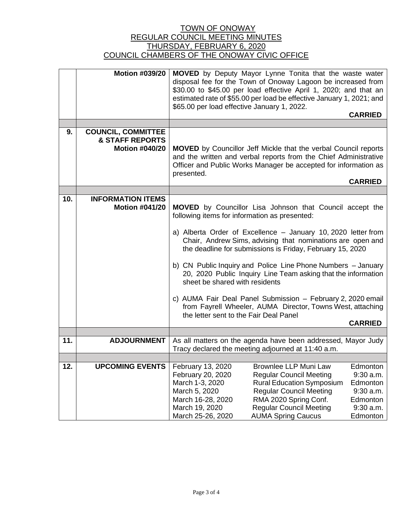|     | <b>Motion #039/20</b>                                                            | <b>MOVED</b> by Deputy Mayor Lynne Tonita that the waste water<br>disposal fee for the Town of Onoway Lagoon be increased from<br>\$30.00 to \$45.00 per load effective April 1, 2020; and that an<br>estimated rate of \$55.00 per load be effective January 1, 2021; and<br>\$65.00 per load effective January 1, 2022.<br><b>CARRIED</b>                                                                                                                                                                                                                                                                                                                              |
|-----|----------------------------------------------------------------------------------|--------------------------------------------------------------------------------------------------------------------------------------------------------------------------------------------------------------------------------------------------------------------------------------------------------------------------------------------------------------------------------------------------------------------------------------------------------------------------------------------------------------------------------------------------------------------------------------------------------------------------------------------------------------------------|
|     |                                                                                  |                                                                                                                                                                                                                                                                                                                                                                                                                                                                                                                                                                                                                                                                          |
| 9.  | <b>COUNCIL, COMMITTEE</b><br><b>&amp; STAFF REPORTS</b><br><b>Motion #040/20</b> | <b>MOVED</b> by Councillor Jeff Mickle that the verbal Council reports<br>and the written and verbal reports from the Chief Administrative<br>Officer and Public Works Manager be accepted for information as<br>presented.<br><b>CARRIED</b>                                                                                                                                                                                                                                                                                                                                                                                                                            |
|     |                                                                                  |                                                                                                                                                                                                                                                                                                                                                                                                                                                                                                                                                                                                                                                                          |
| 10. | <b>INFORMATION ITEMS</b><br><b>Motion #041/20</b>                                | <b>MOVED</b> by Councillor Lisa Johnson that Council accept the<br>following items for information as presented:<br>a) Alberta Order of Excellence - January 10, 2020 letter from<br>Chair, Andrew Sims, advising that nominations are open and<br>the deadline for submissions is Friday, February 15, 2020<br>b) CN Public Inquiry and Police Line Phone Numbers - January<br>20, 2020 Public Inquiry Line Team asking that the information<br>sheet be shared with residents<br>c) AUMA Fair Deal Panel Submission - February 2, 2020 email<br>from Fayrell Wheeler, AUMA Director, Towns West, attaching<br>the letter sent to the Fair Deal Panel<br><b>CARRIED</b> |
| 11. | <b>ADJOURNMENT</b>                                                               | As all matters on the agenda have been addressed, Mayor Judy                                                                                                                                                                                                                                                                                                                                                                                                                                                                                                                                                                                                             |
|     |                                                                                  | Tracy declared the meeting adjourned at 11:40 a.m.                                                                                                                                                                                                                                                                                                                                                                                                                                                                                                                                                                                                                       |
|     |                                                                                  |                                                                                                                                                                                                                                                                                                                                                                                                                                                                                                                                                                                                                                                                          |
| 12. | <b>UPCOMING EVENTS</b>                                                           | <b>Brownlee LLP Muni Law</b><br>February 13, 2020<br>Edmonton<br>February 20, 2020<br><b>Regular Council Meeting</b><br>$9:30$ a.m.<br>March 1-3, 2020<br><b>Rural Education Symposium</b><br>Edmonton<br><b>Regular Council Meeting</b><br>$9:30$ a.m.<br>March 5, 2020<br>March 16-28, 2020<br>RMA 2020 Spring Conf.<br>Edmonton<br><b>Regular Council Meeting</b><br>March 19, 2020<br>$9:30$ a.m.<br><b>AUMA Spring Caucus</b><br>March 25-26, 2020<br>Edmonton                                                                                                                                                                                                      |